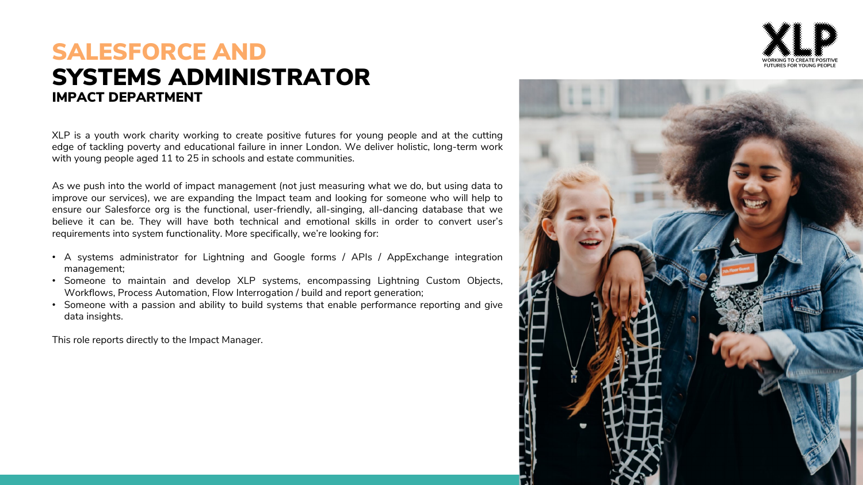

### SYSTEMS ADMINISTRATOR SALESFORCE AND IMPACT DEPARTMENT

XLP is a youth work charity working to create positive futures for young people and at the cutting edge of tackling poverty and educational failure in inner London. We deliver holistic, long-term work with young people aged 11 to 25 in schools and estate communities.

As we push into the world of impact management (not just measuring what we do, but using data to improve our services), we are expanding the Impact team and looking for someone who will help to ensure our Salesforce org is the functional, user-friendly, all-singing, all-dancing database that we believe it can be. They will have both technical and emotional skills in order to convert user's requirements into system functionality. More specifically, we're looking for:

- A systems administrator for Lightning and Google forms / APIs / AppExchange integration management;
- Someone to maintain and develop XLP systems, encompassing Lightning Custom Objects, Workflows, Process Automation, Flow Interrogation / build and report generation;
- Someone with a passion and ability to build systems that enable performance reporting and give data insights.

This role reports directly to the Impact Manager.

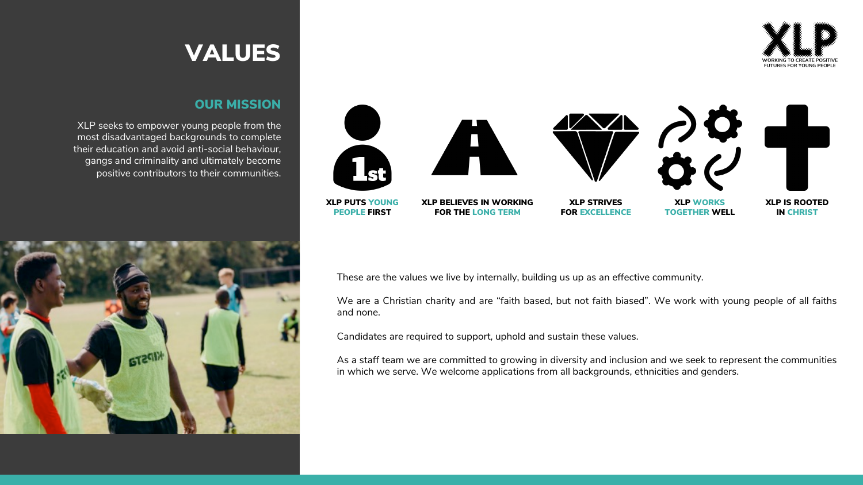

### OUR MISSION

XLP seeks to empower young people from the most disadvantaged backgrounds to complete their education and avoid anti-social behaviour, gangs and criminality and ultimately become positive contributors to their communities.





These are the values we live by internally, building us up as an effective community.

We are a Christian charity and are "faith based, but not faith biased". We work with young people of all faiths and none.

Candidates are required to support, uphold and sustain these values.

As a staff team we are committed to growing in diversity and inclusion and we seek to represent the communities in which we serve. We welcome applications from all backgrounds, ethnicities and genders.

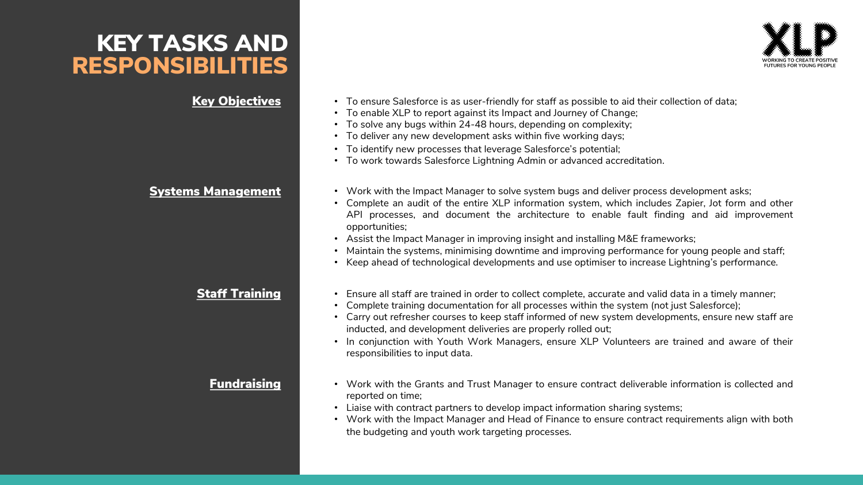## KEY TASKS AND RESPONSIBILITIES



- Key Objectives To ensure Salesforce is as user-friendly for staff as possible to aid their collection of data;
	- To enable XLP to report against its Impact and Journey of Change;
	- To solve any bugs within 24-48 hours, depending on complexity;
	- To deliver any new development asks within five working days;
	- To identify new processes that leverage Salesforce's potential;
	- To work towards Salesforce Lightning Admin or advanced accreditation.
- Systems Management Work with the Impact Manager to solve system bugs and deliver process development asks;
	- Complete an audit of the entire XLP information system, which includes Zapier, Jot form and other API processes, and document the architecture to enable fault finding and aid improvement opportunities;
	- Assist the Impact Manager in improving insight and installing M&E frameworks;
	- Maintain the systems, minimising downtime and improving performance for young people and staff;
	- Keep ahead of technological developments and use optimiser to increase Lightning's performance.
	- **Staff Training Ensure all staff are trained in order to collect complete, accurate and valid data in a timely manner;** 
		- Complete training documentation for all processes within the system (not just Salesforce);
		- Carry out refresher courses to keep staff informed of new system developments, ensure new staff are inducted, and development deliveries are properly rolled out;
		- In conjunction with Youth Work Managers, ensure XLP Volunteers are trained and aware of their responsibilities to input data.
		- **Fundraising •** Work with the Grants and Trust Manager to ensure contract deliverable information is collected and reported on time;
			- Liaise with contract partners to develop impact information sharing systems;
			- Work with the Impact Manager and Head of Finance to ensure contract requirements align with both the budgeting and youth work targeting processes.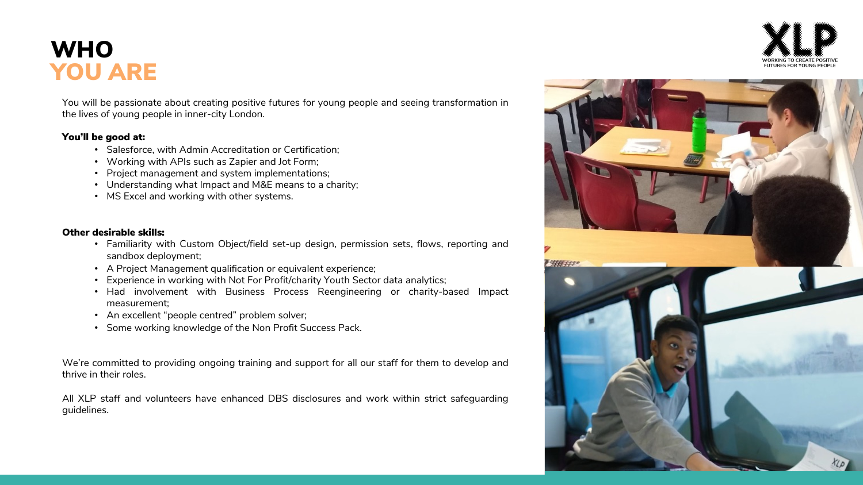## **WHO** YOU ARE

You will be passionate about creating positive futures for young people and seeing transformation in the lives of young people in inner-city London.

### You'll be good at:

- Salesforce, with Admin Accreditation or Certification;
- Working with APIs such as Zapier and Jot Form;
- Project management and system implementations;
- Understanding what Impact and M&E means to a charity;
- MS Excel and working with other systems.

### Other desirable skills:

- Familiarity with Custom Object/field set-up design, permission sets, flows, reporting and sandbox deployment;
- A Project Management qualification or equivalent experience;
- Experience in working with Not For Profit/charity Youth Sector data analytics;
- Had involvement with Business Process Reengineering or charity-based Impact measurement;
- An excellent "people centred" problem solver;
- Some working knowledge of the Non Profit Success Pack.

We're committed to providing ongoing training and support for all our staff for them to develop and thrive in their roles.

All XLP staff and volunteers have enhanced DBS disclosures and work within strict safeguarding guidelines.